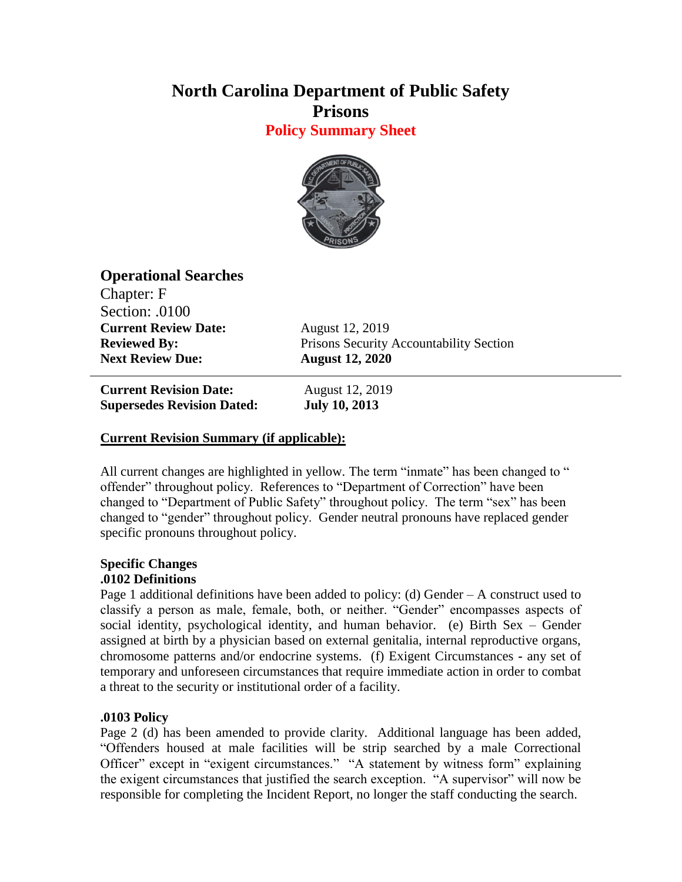# **North Carolina Department of Public Safety Prisons**

**Policy Summary Sheet**



## **Operational Searches**

Chapter: F Section: .0100 **Current Review Date:** August 12, 2019 **Next Review Due: August 12, 2020**

**Reviewed By:** Prisons Security Accountability Section

**Current Revision Date:** August 12, 2019 **Supersedes Revision Dated: July 10, 2013**

## **Current Revision Summary (if applicable):**

All current changes are highlighted in yellow. The term "inmate" has been changed to " offender" throughout policy. References to "Department of Correction" have been changed to "Department of Public Safety" throughout policy. The term "sex" has been changed to "gender" throughout policy. Gender neutral pronouns have replaced gender specific pronouns throughout policy.

#### **Specific Changes .0102 Definitions**

Page 1 additional definitions have been added to policy: (d) Gender  $-A$  construct used to classify a person as male, female, both, or neither. "Gender" encompasses aspects of social identity, psychological identity, and human behavior. (e) Birth Sex – Gender assigned at birth by a physician based on external genitalia, internal reproductive organs, chromosome patterns and/or endocrine systems. (f) Exigent Circumstances **-** any set of temporary and unforeseen circumstances that require immediate action in order to combat a threat to the security or institutional order of a facility.

## **.0103 Policy**

Page 2 (d) has been amended to provide clarity. Additional language has been added, "Offenders housed at male facilities will be strip searched by a male Correctional Officer" except in "exigent circumstances." "A statement by witness form" explaining the exigent circumstances that justified the search exception. "A supervisor" will now be responsible for completing the Incident Report, no longer the staff conducting the search.